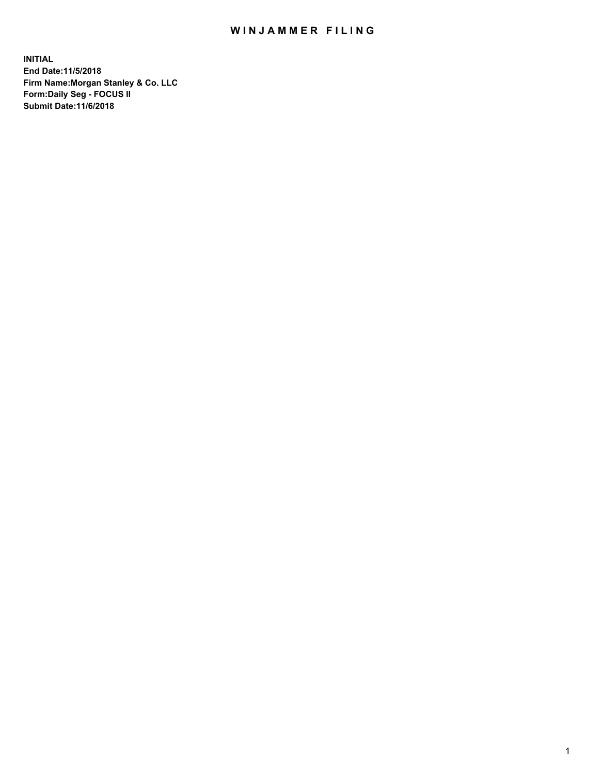## WIN JAMMER FILING

**INITIAL End Date:11/5/2018 Firm Name:Morgan Stanley & Co. LLC Form:Daily Seg - FOCUS II Submit Date:11/6/2018**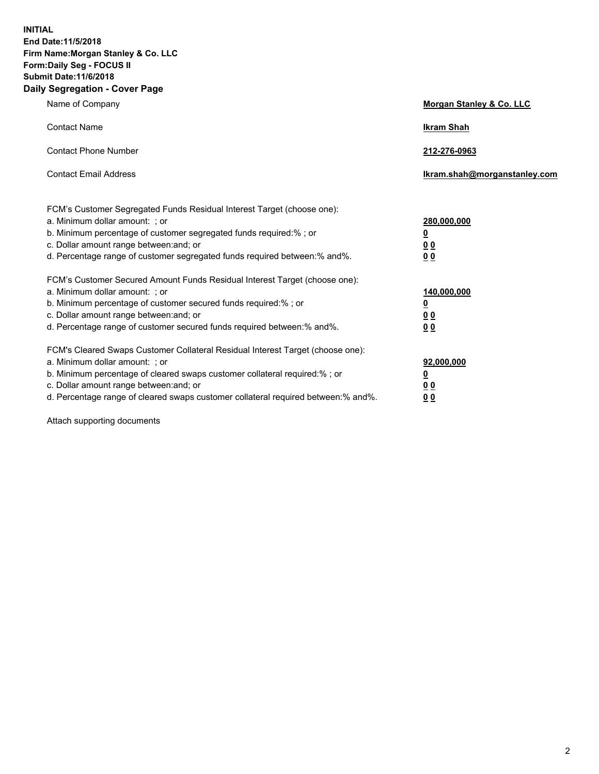**INITIAL End Date:11/5/2018 Firm Name:Morgan Stanley & Co. LLC Form:Daily Seg - FOCUS II Submit Date:11/6/2018 Daily Segregation - Cover Page**

| Name of Company                                                                                                                                                                                                                                                                                                               | Morgan Stanley & Co. LLC                                    |
|-------------------------------------------------------------------------------------------------------------------------------------------------------------------------------------------------------------------------------------------------------------------------------------------------------------------------------|-------------------------------------------------------------|
| <b>Contact Name</b>                                                                                                                                                                                                                                                                                                           | <b>Ikram Shah</b>                                           |
| <b>Contact Phone Number</b>                                                                                                                                                                                                                                                                                                   | 212-276-0963                                                |
| <b>Contact Email Address</b>                                                                                                                                                                                                                                                                                                  | Ikram.shah@morganstanley.com                                |
| FCM's Customer Segregated Funds Residual Interest Target (choose one):<br>a. Minimum dollar amount: ; or<br>b. Minimum percentage of customer segregated funds required:% ; or<br>c. Dollar amount range between: and; or<br>d. Percentage range of customer segregated funds required between:% and%.                        | 280,000,000<br><u>0</u><br><u>00</u><br>0 <sup>0</sup>      |
| FCM's Customer Secured Amount Funds Residual Interest Target (choose one):<br>a. Minimum dollar amount: ; or<br>b. Minimum percentage of customer secured funds required:%; or<br>c. Dollar amount range between: and; or<br>d. Percentage range of customer secured funds required between:% and%.                           | 140,000,000<br><u>0</u><br>0 <sub>0</sub><br>0 <sub>0</sub> |
| FCM's Cleared Swaps Customer Collateral Residual Interest Target (choose one):<br>a. Minimum dollar amount: ; or<br>b. Minimum percentage of cleared swaps customer collateral required:%; or<br>c. Dollar amount range between: and; or<br>d. Percentage range of cleared swaps customer collateral required between:% and%. | 92,000,000<br><u>0</u><br>0 Q<br>00                         |

Attach supporting documents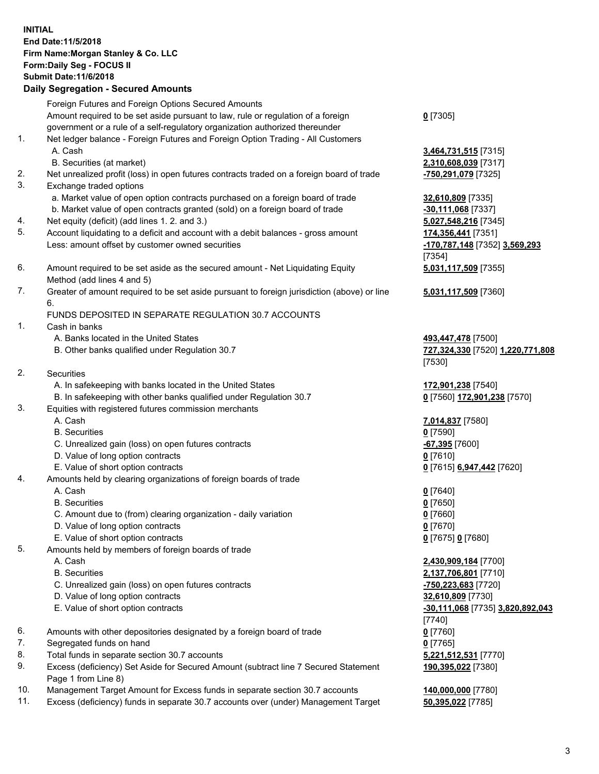## **INITIAL End Date:11/5/2018 Firm Name:Morgan Stanley & Co. LLC Form:Daily Seg - FOCUS II Submit Date:11/6/2018 Daily Segregation - Secured Amounts** Foreign Futures and Foreign Options Secured Amounts Amount required to be set aside pursuant to law, rule or regulation of a foreign government or a rule of a self-regulatory organization authorized thereunder 1. Net ledger balance - Foreign Futures and Foreign Option Trading - All Customers A. Cash **3,464,731,515** [7315] B. Securities (at market) **2,310,608,039** [7317]

- 2. Net unrealized profit (loss) in open futures contracts traded on a foreign board of trade **-750,291,079** [7325]
- 3. Exchange traded options
	- a. Market value of open option contracts purchased on a foreign board of trade **32,610,809** [7335]
	- b. Market value of open contracts granted (sold) on a foreign board of trade **-30,111,068** [7337]
- 4. Net equity (deficit) (add lines 1. 2. and 3.) **5,027,548,216** [7345]
- 5. Account liquidating to a deficit and account with a debit balances gross amount **174,356,441** [7351] Less: amount offset by customer owned securities **-170,787,148** [7352] **3,569,293**
- 6. Amount required to be set aside as the secured amount Net Liquidating Equity Method (add lines 4 and 5)
- 7. Greater of amount required to be set aside pursuant to foreign jurisdiction (above) or line 6.

## FUNDS DEPOSITED IN SEPARATE REGULATION 30.7 ACCOUNTS

- 1. Cash in banks
	- A. Banks located in the United States **493,447,478** [7500]
	- B. Other banks qualified under Regulation 30.7 **727,324,330** [7520] **1,220,771,808**
- 2. Securities
	- A. In safekeeping with banks located in the United States **172,901,238** [7540]
	- B. In safekeeping with other banks qualified under Regulation 30.7 **0** [7560] **172,901,238** [7570]
- 3. Equities with registered futures commission merchants
	-
	- B. Securities **0** [7590]
	- C. Unrealized gain (loss) on open futures contracts **-67,395** [7600]
	- D. Value of long option contracts **0** [7610]
- E. Value of short option contracts **0** [7615] **6,947,442** [7620]
- 4. Amounts held by clearing organizations of foreign boards of trade
	- A. Cash **0** [7640]
	- B. Securities **0** [7650]
	- C. Amount due to (from) clearing organization daily variation **0** [7660]
	- D. Value of long option contracts **0** [7670]
	- E. Value of short option contracts **0** [7675] **0** [7680]
- 5. Amounts held by members of foreign boards of trade
	-
	-
	- C. Unrealized gain (loss) on open futures contracts **-750,223,683** [7720]
	- D. Value of long option contracts **32,610,809** [7730]
	- E. Value of short option contracts **-30,111,068** [7735] **3,820,892,043**
- 6. Amounts with other depositories designated by a foreign board of trade **0** [7760]
- 7. Segregated funds on hand **0** [7765]
- 8. Total funds in separate section 30.7 accounts **5,221,512,531** [7770]
- 9. Excess (deficiency) Set Aside for Secured Amount (subtract line 7 Secured Statement Page 1 from Line 8)
- 10. Management Target Amount for Excess funds in separate section 30.7 accounts **140,000,000** [7780]
- 11. Excess (deficiency) funds in separate 30.7 accounts over (under) Management Target **50,395,022** [7785]

**0** [7305]

[7354] **5,031,117,509** [7355]

**5,031,117,509** [7360]

[7530]

A. Cash **7,014,837** [7580]

 A. Cash **2,430,909,184** [7700] B. Securities **2,137,706,801** [7710] [7740] **190,395,022** [7380]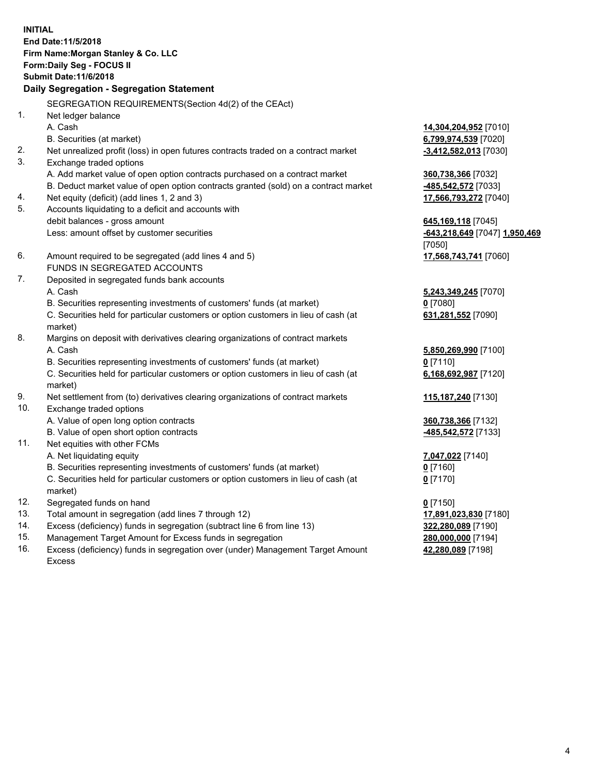**INITIAL End Date:11/5/2018 Firm Name:Morgan Stanley & Co. LLC Form:Daily Seg - FOCUS II Submit Date:11/6/2018 Daily Segregation - Segregation Statement** SEGREGATION REQUIREMENTS(Section 4d(2) of the CEAct) 1. Net ledger balance A. Cash **14,304,204,952** [7010] B. Securities (at market) **6,799,974,539** [7020] 2. Net unrealized profit (loss) in open futures contracts traded on a contract market **-3,412,582,013** [7030] 3. Exchange traded options A. Add market value of open option contracts purchased on a contract market **360,738,366** [7032] B. Deduct market value of open option contracts granted (sold) on a contract market **-485,542,572** [7033] 4. Net equity (deficit) (add lines 1, 2 and 3) **17,566,793,272** [7040] 5. Accounts liquidating to a deficit and accounts with debit balances - gross amount **645,169,118** [7045] Less: amount offset by customer securities **-643,218,649** [7047] **1,950,469** [7050] 6. Amount required to be segregated (add lines 4 and 5) **17,568,743,741** [7060] FUNDS IN SEGREGATED ACCOUNTS 7. Deposited in segregated funds bank accounts A. Cash **5,243,349,245** [7070] B. Securities representing investments of customers' funds (at market) **0** [7080] C. Securities held for particular customers or option customers in lieu of cash (at market) **631,281,552** [7090] 8. Margins on deposit with derivatives clearing organizations of contract markets A. Cash **5,850,269,990** [7100] B. Securities representing investments of customers' funds (at market) **0** [7110] C. Securities held for particular customers or option customers in lieu of cash (at market) **6,168,692,987** [7120] 9. Net settlement from (to) derivatives clearing organizations of contract markets **115,187,240** [7130] 10. Exchange traded options A. Value of open long option contracts **360,738,366** [7132] B. Value of open short option contracts **-485,542,572** [7133] 11. Net equities with other FCMs A. Net liquidating equity **7,047,022** [7140] B. Securities representing investments of customers' funds (at market) **0** [7160] C. Securities held for particular customers or option customers in lieu of cash (at market) **0** [7170] 12. Segregated funds on hand **0** [7150] 13. Total amount in segregation (add lines 7 through 12) **17,891,023,830** [7180] 14. Excess (deficiency) funds in segregation (subtract line 6 from line 13) **322,280,089** [7190]

- 15. Management Target Amount for Excess funds in segregation **280,000,000** [7194]
- 16. Excess (deficiency) funds in segregation over (under) Management Target Amount Excess

**42,280,089** [7198]